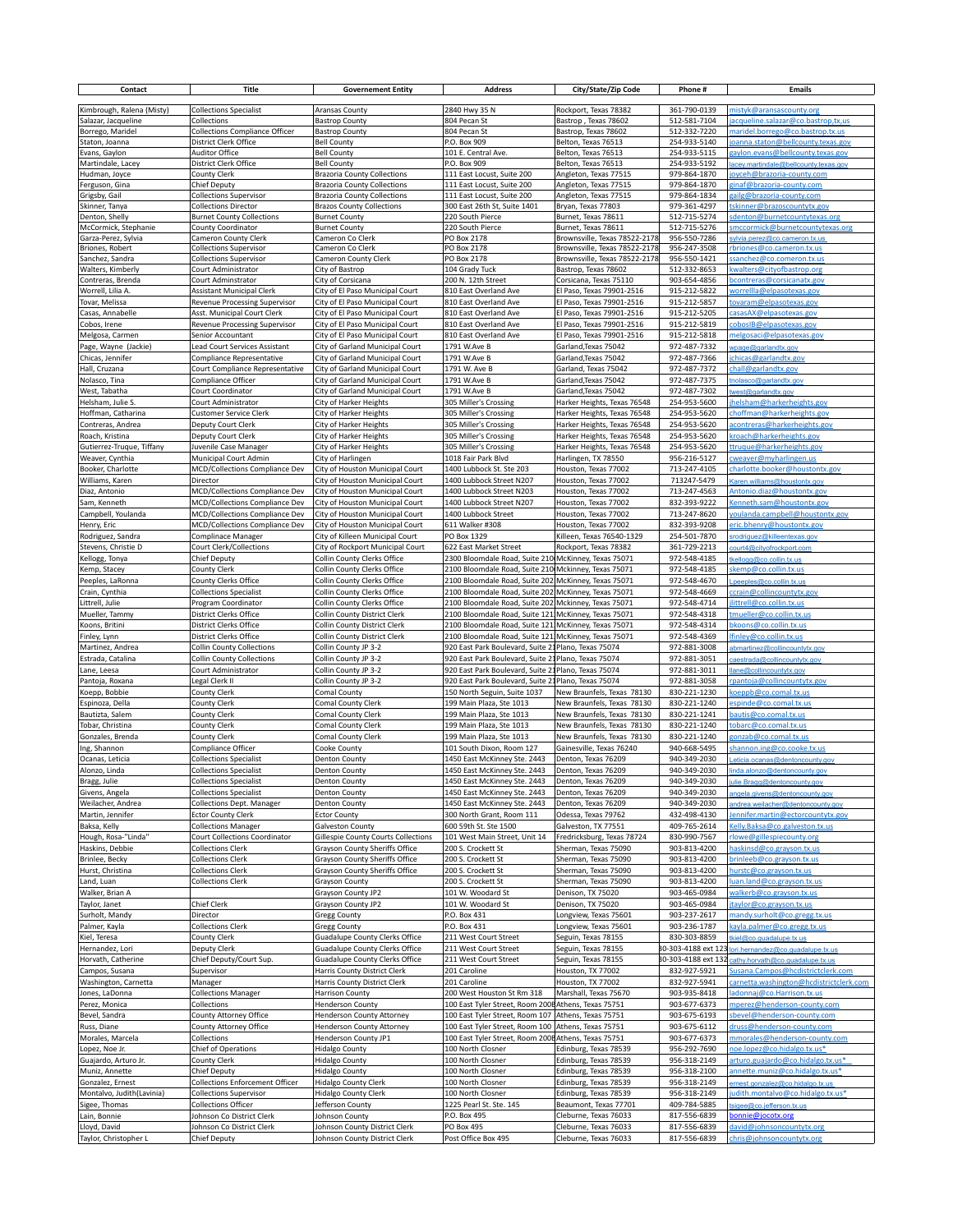| Contact                                      | Title                                                            | <b>Governement Entity</b>                                             | <b>Address</b>                                                                                               | City/State/Zip Code                                        | Phone #                      | <b>Emails</b>                                                             |
|----------------------------------------------|------------------------------------------------------------------|-----------------------------------------------------------------------|--------------------------------------------------------------------------------------------------------------|------------------------------------------------------------|------------------------------|---------------------------------------------------------------------------|
| Kimbrough, Ralena (Misty)                    | <b>Collections Specialist</b>                                    | Aransas County                                                        | 2840 Hwy 35 N                                                                                                | Rockport, Texas 78382                                      | 361-790-0139                 | mistyk@aransascounty.org                                                  |
| Salazar, Jacqueline                          | Collections                                                      | <b>Bastrop County</b>                                                 | 804 Pecan St                                                                                                 | Bastrop, Texas 78602                                       | 512-581-7104                 | jacqueline.salazar@co.bastrop,tx,us                                       |
| Borrego, Maridel                             | <b>Collections Compliance Officer</b>                            | <b>Bastrop County</b>                                                 | 804 Pecan St                                                                                                 | Bastrop, Texas 78602                                       | 512-332-7220                 | maridel.borrego@co.bastrop.tx.us                                          |
| Staton, Joanna                               | District Clerk Office                                            | <b>Bell County</b>                                                    | P.O. Box 909                                                                                                 | Belton, Texas 76513                                        | 254-933-5140                 | joanna.staton@bellcounty.texas.gov                                        |
| Evans, Gaylon<br>Martindale, Lacey           | <b>Auditor Office</b><br>District Clerk Office                   | <b>Bell County</b><br><b>Bell County</b>                              | 101 E. Central Ave.<br>P.O. Box 909                                                                          | Belton, Texas 76513<br>Belton, Texas 76513                 | 254-933-5115<br>254-933-5192 | gaylon.evans@bellcounty.texas.gov<br>acey.martindale@bellcounty.texas.gov |
| Hudman, Joyce                                | County Clerk                                                     | <b>Brazoria County Collections</b>                                    | 111 East Locust, Suite 200                                                                                   | Angleton, Texas 77515                                      | 979-864-1870                 | joyceh@brazoria-county.com                                                |
| Ferguson, Gina                               | <b>Chief Deputy</b>                                              | <b>Brazoria County Collections</b>                                    | 111 East Locust, Suite 200                                                                                   | Angleton, Texas 77515                                      | 979-864-1870                 | ginaf@brazoria-county.com                                                 |
| Grigsby, Gail                                | <b>Collections Supervisor</b>                                    | <b>Brazoria County Collections</b>                                    | 111 East Locust, Suite 200                                                                                   | Angleton, Texas 77515                                      | 979-864-1834                 | gailg@brazoria-county.com                                                 |
| Skinner, Tanya                               | <b>Collections Director</b>                                      | <b>Brazos County Collections</b>                                      | 300 East 26th St, Suite 1401                                                                                 | Bryan, Texas 77803                                         | 979-361-4297                 | tskinner@brazoscountytx.gov                                               |
| Denton, Shelly<br>McCormick, Stephanie       | <b>Burnet County Collections</b><br>County Coordinator           | <b>Burnet County</b><br><b>Burnet County</b>                          | 220 South Pierce<br>220 South Pierce                                                                         | Burnet, Texas 78611<br>Burnet, Texas 78611                 | 512-715-5274<br>512-715-5276 | sdenton@burnetcountytexas.org<br>smccormick@burnetcountytexas.org         |
| Garza-Perez, Sylvia                          | Cameron County Clerk                                             | Cameron Co Clerk                                                      | PO Box 2178                                                                                                  | Brownsville, Texas 78522-2178                              | 956-550-7286                 |                                                                           |
| Briones, Robert                              | <b>Collections Supervisor</b>                                    | Cameron Co Clerk                                                      | PO Box 2178                                                                                                  | Brownsville, Texas 78522-2178                              | 956-247-3508                 | rbriones@co.cameron.tx.us                                                 |
| Sanchez, Sandra                              | <b>Collections Supervisor</b>                                    | Cameron County Clerk                                                  | PO Box 2178                                                                                                  | Brownsville, Texas 78522-2178                              | 956-550-1421                 | ssanchez@co.comeron.tx.us                                                 |
| Walters, Kimberly<br>Contreras, Brenda       | Court Administrator<br>Court Adminstrator                        | City of Bastrop<br>City of Corsicana                                  | 104 Grady Tuck<br>200 N. 12th Street                                                                         | Bastrop, Texas 78602<br>Corsicana, Texas 75110             | 512-332-8653<br>903-654-4856 | kwalters@cityofbastrop.org<br>bcontreras@corsicanatx.gov                  |
| Worrell, Lilia A.                            | <b>Assistant Municipal Clerk</b>                                 | City of El Paso Municipal Court                                       | 810 East Overland Ave                                                                                        | El Paso, Texas 79901-2516                                  | 915-212-5822                 | <u>worrellla@elpasotexas.gov</u>                                          |
| Tovar, Melissa                               | Revenue Processing Supervisor                                    | City of El Paso Municipal Court                                       | 810 East Overland Ave                                                                                        | El Paso, Texas 79901-2516                                  | 915-212-5857                 | tovaram@elpasotexas.gov                                                   |
| Casas, Annabelle                             | Asst. Municipal Court Clerk                                      | City of El Paso Municipal Court                                       | 810 East Overland Ave                                                                                        | El Paso, Texas 79901-2516                                  | 915-212-5205                 | <u>casas AX@elpasotexas.gov</u>                                           |
| Cobos, Irene                                 | Revenue Processing Supervisor                                    | City of El Paso Municipal Court                                       | 810 East Overland Ave                                                                                        | El Paso, Texas 79901-2516                                  | 915-212-5819                 | cobosIB@elpasotexas.gov                                                   |
| Melgosa, Carmen                              | Senior Accountant                                                | City of El Paso Municipal Court                                       | 810 East Overland Ave                                                                                        | El Paso, Texas 79901-2516                                  | 915-212-5818                 | melgosaci@elpasotexas.gov                                                 |
| Page, Wayne (Jackie)<br>Chicas, Jennifer     | Lead Court Services Assistant<br>Compliance Representative       | City of Garland Municipal Court<br>City of Garland Municipal Court    | 1791 W.Ave B<br>1791 W.Ave B                                                                                 | Garland, Texas 75042<br>Garland, Texas 75042               | 972-487-7332<br>972-487-7366 | wpage@garlandtx.gov<br>jchicas@garlandtx.gov                              |
| Hall, Cruzana                                | Court Compliance Representative                                  | City of Garland Municipal Court                                       | 1791 W. Ave B                                                                                                | Garland, Texas 75042                                       | 972-487-7372                 | chall@garlandtx.gov                                                       |
| Nolasco, Tina                                | Compliance Officer                                               | City of Garland Municipal Court                                       | 1791 W.Ave B                                                                                                 | Garland, Texas 75042                                       | 972-487-7375                 | tnolasco@garlandtx.gov                                                    |
| West, Tabatha                                | Court Coordinator                                                | City of Garland Municipal Court                                       | 1791 W.Ave B                                                                                                 | Garland, Texas 75042                                       | 972-487-7302                 | west@garlandtx.gov                                                        |
| Helsham, Julie S.                            | Court Administrator                                              | City of Harker Heights                                                | 305 Miller's Crossing                                                                                        | Harker Heights, Texas 76548                                | 254-953-5600                 | helsham@harkerheights.gov                                                 |
| Hoffman, Catharina                           | <b>Customer Service Clerk</b>                                    | City of Harker Heights                                                | 305 Miller's Crossing                                                                                        | Harker Heights, Texas 76548                                | 254-953-5620                 | choffman@harkerheights.gov                                                |
| Contreras, Andrea                            | Deputy Court Clerk                                               | City of Harker Heights                                                | 305 Miller's Crossing                                                                                        | Harker Heights, Texas 76548                                | 254-953-5620<br>254-953-5620 | acontreras@harkerheights.gov                                              |
| Roach, Kristina<br>Gutierrez-Truque, Tiffany | Deputy Court Clerk<br>Juvenile Case Manager                      | City of Harker Heights<br>City of Harker Heights                      | 305 Miller's Crossing<br>305 Miller's Crossing                                                               | Harker Heights, Texas 76548<br>Harker Heights, Texas 76548 | 254-953-5620                 | kroach@harkerheights.gov<br>ttruque@harkerheights.gov                     |
| Weaver, Cynthia                              | Municipal Court Admin                                            | City of Harlingen                                                     | 1018 Fair Park Blvd                                                                                          | Harlingen, TX 78550                                        | 956-216-5127                 | <u>cweaver@myharlingen.us</u>                                             |
| Booker, Charlotte                            | MCD/Collections Compliance Dev                                   | City of Houston Municipal Court                                       | 1400 Lubbock St. Ste 203                                                                                     | Houston, Texas 77002                                       | 713-247-4105                 | charlotte.booker@houstontx.gov                                            |
| Williams, Karen                              | Director                                                         | City of Houston Municipal Court                                       | 1400 Lubbock Street N207                                                                                     | Houston, Texas 77002                                       | 713247-5479                  | Karen.williams@houstontx.gov                                              |
| Diaz, Antonio                                | MCD/Collections Compliance Dev                                   | City of Houston Municipal Court                                       | 1400 Lubbock Street N203                                                                                     | Houston, Texas 77002                                       | 713-247-4563                 | Antonio.diaz@houstontx.gov                                                |
| Sam, Kenneth                                 | MCD/Collections Compliance Dev                                   | City of Houston Municipal Court                                       | 1400 Lubbock Street N207                                                                                     | Houston, Texas 77002                                       | 832-393-9222                 | Kenneth.sam@houstontx.gov                                                 |
| Campbell, Youlanda                           | MCD/Collections Compliance Dev                                   | City of Houston Municipal Court                                       | 1400 Lubbock Street<br>611 Walker #308                                                                       | Houston, Texas 77002<br>Houston, Texas 77002               | 713-247-8620<br>832-393-9208 | voulanda.campbell@houstontx.gov                                           |
| Henry, Eric<br>Rodriguez, Sandra             | MCD/Collections Compliance Dev<br>Complinace Manager             | City of Houston Municipal Court<br>City of Killeen Municipal Court    | PO Box 1329                                                                                                  | Killeen, Texas 76540-1329                                  | 254-501-7870                 | eric.bhenry@houstontx.gov<br>srodriquez@killeentexas.gov                  |
| Stevens, Christie D                          | Court Clerk/Collections                                          | City of Rockport Municipal Court                                      | 622 East Market Street                                                                                       | Rockport, Texas 78382                                      | 361-729-2213                 | court4@cityofrockport.com                                                 |
| Kellogg, Tonya                               | Chief Deputy                                                     | Collin County Clerks Office                                           | 2300 Bloomdale Road, Suite 210 McKinney, Texas 75071                                                         |                                                            | 972-548-4185                 | tkellogg@co.collin.tx.us                                                  |
| Kemp, Stacey                                 | County Clerk                                                     | Collin County Clerks Office                                           | 2100 Bloomdale Road, Suite 210 Mckinney, Texas 75071                                                         |                                                            | 972-548-4185                 | skemp@co.collin.tx.us                                                     |
| Peeples, LaRonna                             | County Clerks Office                                             | Collin County Clerks Office                                           | 2100 Bloomdale Road, Suite 202 McKinney, Texas 75071                                                         |                                                            | 972-548-4670                 | Lpeeples@co.collin.tx.us                                                  |
| Crain, Cynthia                               | <b>Collections Specialist</b>                                    | Collin County Clerks Office                                           | 2100 Bloomdale Road, Suite 202 McKinney, Texas 75071                                                         |                                                            | 972-548-4669                 | ccrain@collincountytx.gov                                                 |
| Littrell, Julie<br>Mueller, Tammy            | Program Coordinator<br><b>District Clerks Office</b>             | Collin County Clerks Office<br>Collin County District Clerk           | 2100 Bloomdale Road, Suite 202 Mckinney, Texas 75071<br>2100 Bloomdale Road, Suite 121 McKinney, Texas 75071 |                                                            | 972-548-4714<br>972-548-4318 | ilittrell@co.collin.tx.us<br>tmueller@co.collin.tx.us                     |
| Koons, Britini                               | District Clerks Office                                           | Collin County District Clerk                                          | 2100 Bloomdale Road, Suite 121 McKinney, Texas 75071                                                         |                                                            | 972-548-4314                 | bkoons@co.collin.tx.us                                                    |
| Finley, Lynn                                 | <b>District Clerks Office</b>                                    | Collin County District Clerk                                          | 2100 Bloomdale Road, Suite 121 McKinney, Texas 75071                                                         |                                                            | 972-548-4369                 | finley@co.collin.tx.us                                                    |
| Martinez, Andrea                             | <b>Collin County Collections</b>                                 | Collin County JP 3-2                                                  | 920 East Park Boulevard, Suite 21 Plano, Texas 75074                                                         |                                                            | 972-881-3008                 | abmartinez@collincountytx.gov                                             |
| Estrada, Catalina                            | <b>Collin County Collections</b>                                 | Collin County JP 3-2                                                  | 920 East Park Boulevard, Suite 21 Plano, Texas 75074                                                         |                                                            | 972-881-3051                 | caestrada@collincountytx.gov                                              |
| Lane, Leesa                                  | Court Administrator                                              | Collin County JP 3-2                                                  | 920 East Park Boulevard, Suite 21 Plano, Texas 75074                                                         |                                                            | 972-881-3011                 | llane@collincountytx.gov                                                  |
| Pantoja, Roxana<br>Koepp, Bobbie             | Legal Clerk II<br>County Clerk                                   | Collin County JP 3-2<br>Comal County                                  | 920 East Park Boulevard, Suite 21 Plano, Texas 75074<br>150 North Seguin, Suite 1037                         | New Braunfels, Texas 78130                                 | 972-881-3058<br>830-221-1230 | rpantoja@collincountytx.gov<br>koeppb@co.comal.tx.us                      |
| Espinoza, Della                              | County Clerk                                                     | <b>Comal County Clerk</b>                                             | 199 Main Plaza, Ste 1013                                                                                     | New Braunfels, Texas 78130                                 | 830-221-1240                 | espinde@co.comal.tx.us                                                    |
| Bautizta, Salem                              | County Clerk                                                     | Comal County Clerk                                                    | 199 Main Plaza, Ste 1013                                                                                     | New Braunfels, Texas 78130                                 | 830-221-1241                 | bautis@co.comal.tx.us                                                     |
| Tobar, Christina                             | County Clerk                                                     | <b>Comal County Clerk</b>                                             | 199 Main Plaza, Ste 1013                                                                                     | New Braunfels, Texas 78130                                 | 830-221-1240                 | tobarc@co.comal.tx.us                                                     |
| Gonzales, Brenda                             | County Clerk                                                     | Comal County Clerk                                                    | 199 Main Plaza, Ste 1013                                                                                     | New Braunfels, Texas 78130                                 | 830-221-1240                 | gonzab@co.comal.tx.us                                                     |
| Ing, Shannon                                 | Compliance Officer                                               | Cooke County                                                          | 101 South Dixon, Room 127                                                                                    | Gainesville, Texas 76240                                   | 940-668-5495                 | shannon.ing@co.cooke.tx.us                                                |
| Ocanas, Leticia<br>Alonzo, Linda             | <b>Collections Specialist</b><br><b>Collections Specialist</b>   | <b>Denton County</b><br><b>Denton County</b>                          | 1450 East McKinney Ste. 2443<br>1450 East McKinney Ste. 2443                                                 | Denton, Texas 76209<br>Denton, Texas 76209                 | 940-349-2030<br>940-349-2030 | Leticia.ocanas@dentoncounty.gov                                           |
| Bragg, Julie                                 | Collections Specialist                                           | Denton County                                                         | 1450 East McKinney Ste. 2443                                                                                 | Denton, Texas 76209                                        | 940-349-2030                 | linda.alonzo@dentoncounty.gov<br>ulie.Bragg@dentoncounty.gov              |
| Givens, Angela                               | <b>Collections Specialist</b>                                    | Denton County                                                         | 1450 East McKinney Ste. 2443                                                                                 | Denton, Texas 76209                                        | 940-349-2030                 | angela.givens@dentoncounty.gov                                            |
| Weilacher, Andrea                            | <b>Collections Dept. Manager</b>                                 | <b>Denton County</b>                                                  | 1450 East McKinney Ste. 2443                                                                                 | Denton, Texas 76209                                        | 940-349-2030                 | andrea.weilacher@dentoncounty.gov                                         |
| Martin, Jennifer                             | <b>Ector County Clerk</b>                                        | <b>Ector County</b>                                                   | 300 North Grant, Room 111                                                                                    | Odessa, Texas 79762                                        | 432-498-4130                 | Jennifer.martin@ectorcountytx.gov                                         |
| Baksa, Kelly                                 | <b>Collections Manager</b>                                       | Galveston County                                                      | 600 59th St. Ste 1500                                                                                        | Galveston, TX 77551                                        | 409-765-2614                 | Kelly. Baksa@co.galveston.tx.us                                           |
| Hough, Rosa-"Linda"<br>Haskins, Debbie       | <b>Court Collections Coordinator</b><br><b>Collections Clerk</b> | Gillespie County Courts Collections<br>Grayson County Sheriffs Office | 101 West Main Street, Unit 14<br>200 S. Crockett St                                                          | Fredricksburg, Texas 78724<br>Sherman, Texas 75090         | 830-990-7567<br>903-813-4200 | rlowe@gillespiecounty.org<br>haskinsd@co.grayson.tx.us                    |
| Brinlee, Becky                               | <b>Collections Clerk</b>                                         | Grayson County Sheriffs Office                                        | 200 S. Crockett St                                                                                           | Sherman, Texas 75090                                       | 903-813-4200                 | brinleeb@co.grayson.tx.us                                                 |
| Hurst, Christina                             | <b>Collections Clerk</b>                                         | Grayson County Sheriffs Office                                        | 200 S. Crockett St                                                                                           | Sherman, Texas 75090                                       | 903-813-4200                 | hurstc@co.grayson.tx.us                                                   |
| Land, Luan                                   | <b>Collections Clerk</b>                                         | Grayson County                                                        | 200 S. Crockett St                                                                                           | Sherman, Texas 75090                                       | 903-813-4200                 | luan.land@co.grayson.tx.us                                                |
| Walker, Brian A                              |                                                                  | Grayson County JP2                                                    | 101 W. Woodard St                                                                                            | Denison, TX 75020                                          | 903-465-0984                 | walkerb@co.grayson.tx.us                                                  |
| Taylor, Janet                                | <b>Chief Clerk</b>                                               | Grayson County JP2                                                    | 101 W. Woodard St                                                                                            | Denison, TX 75020                                          | 903-465-0984                 | taylor@co.grayson.tx.us                                                   |
| Surholt, Mandy                               | Director<br><b>Collections Clerk</b>                             | <b>Gregg County</b><br><b>Gregg County</b>                            | P.O. Box 431<br>P.O. Box 431                                                                                 | Longview, Texas 75601<br>Longview, Texas 75601             | 903-237-2617                 | mandy.surholt@co.gregg.tx.us                                              |
| Palmer, Kayla<br>Kiel, Teresa                | County Clerk                                                     | Guadalupe County Clerks Office                                        | 211 West Court Street                                                                                        | Seguin, Texas 78155                                        | 903-236-1787<br>830-303-8859 | kayla.palmer@co.gregg.tx.us<br>tkiel@co.quadalupe.tx.us                   |
| Hernandez, Lori                              | Deputy Clerk                                                     | Guadalupe County Clerks Office                                        | 211 West Court Street                                                                                        | Seguin, Texas 78155                                        | 30-303-4188 ext 12           | lori.hernandez@co.guadalupe.tx.us                                         |
| Horvath, Catherine                           | Chief Deputy/Court Sup.                                          | <b>Guadalupe County Clerks Office</b>                                 | 211 West Court Street                                                                                        | Seguin, Texas 78155                                        | 30-303-4188 ext 132          | cathy.horvath@co.quadalupe.tx.us                                          |
| Campos, Susana                               | Supervisor                                                       | Harris County District Clerk                                          | 201 Caroline                                                                                                 | Houston, TX 77002                                          | 832-927-5921                 | Susana.Campos@hcdistrictclerk.com                                         |
| Washington, Carnetta                         | Manager                                                          | Harris County District Clerk                                          | 201 Caroline                                                                                                 | Houston, TX 77002                                          | 832-927-5941                 | carnetta.washington@hcdistrictclerk.com                                   |
| Jones, LaDonna                               | <b>Collections Manager</b>                                       | <b>Harrison County</b>                                                | 200 West Houston St Rm 318                                                                                   | Marshall, Texas 75670                                      | 903-935-8418                 | ladonnaj@co.Harrison.tx.us                                                |
| Perez, Monica<br>Bevel, Sandra               | Collections<br>County Attorney Office                            | <b>Henderson County</b><br>Henderson County Attorney                  | 100 East Tyler Street, Room 200E Athens, Texas 75751<br>100 East Tyler Street, Room 107                      | Athens, Texas 75751                                        | 903-677-6373<br>903-675-6193 | mperez@henderson-county.com<br>sbevel@henderson-county.com                |
| Russ, Diane                                  | County Attorney Office                                           | Henderson County Attorney                                             | 100 East Tyler Street, Room 100                                                                              | Athens, Texas 75751                                        | 903-675-6112                 | druss@henderson-county.com                                                |
| Morales, Marcela                             | Collections                                                      | Henderson County JP1                                                  | 100 East Tyler Street, Room 2008 Athens, Texas 75751                                                         |                                                            | 903-677-6373                 | mmorales@henderson-county.com                                             |
| Lopez, Noe Jr.                               | Chief of Operations                                              | <b>Hidalgo County</b>                                                 | 100 North Closner                                                                                            | Edinburg, Texas 78539                                      | 956-292-7690                 | noe.lopez@co.hidalgo.tx.us*                                               |
| Guajardo, Arturo Jr.                         | County Clerk                                                     | <b>Hidalgo County</b>                                                 | 100 North Closner                                                                                            | Edinburg, Texas 78539                                      | 956-318-2149                 | arturo.guajardo@co.hidalgo.tx.us*                                         |
| Muniz, Annette                               | Chief Deputy                                                     | <b>Hidalgo County</b>                                                 | 100 North Closner                                                                                            | Edinburg, Texas 78539                                      | 956-318-2100                 | annette.muniz@co.hidalgo.tx.us*                                           |
| Gonzalez, Ernest                             | <b>Collections Enforcement Officer</b>                           | Hidalgo County Clerk                                                  | 100 North Closner                                                                                            | Edinburg, Texas 78539                                      | 956-318-2149                 | ernest.gonzalez@co.hidalgo.tx.us                                          |
| Montalvo, Judith(Lavinia)<br>Sigee, Thomas   | <b>Collections Supervisor</b><br><b>Collections Officer</b>      | Hidalgo County Clerk<br>Jefferson County                              | 100 North Closner<br>1225 Pearl St. Ste. 145                                                                 | Edinburg, Texas 78539<br>Beaumont, Texas 77701             | 956-318-2149<br>409-784-5885 | udith.montalvo@co.hidalgo.tx.us*<br>tsigee@co.jefferson.tx.us             |
| Lain, Bonnie                                 | Johnson Co District Clerk                                        | Johnson County                                                        | P.O. Box 495                                                                                                 | Cleburne, Texas 76033                                      | 817-556-6839                 | bonnie@jocotx.org                                                         |
| Lloyd, David                                 | Johnson Co District Clerk                                        | Johnson County District Clerk                                         | PO Box 495                                                                                                   | Cleburne, Texas 76033                                      | 817-556-6839                 | david@johnsoncountytx.org                                                 |
| Taylor, Christopher L                        | <b>Chief Deputy</b>                                              | Johnson County District Clerk                                         | Post Office Box 495                                                                                          | Cleburne, Texas 76033                                      | 817-556-6839                 | chris@johnsoncountytx.org                                                 |